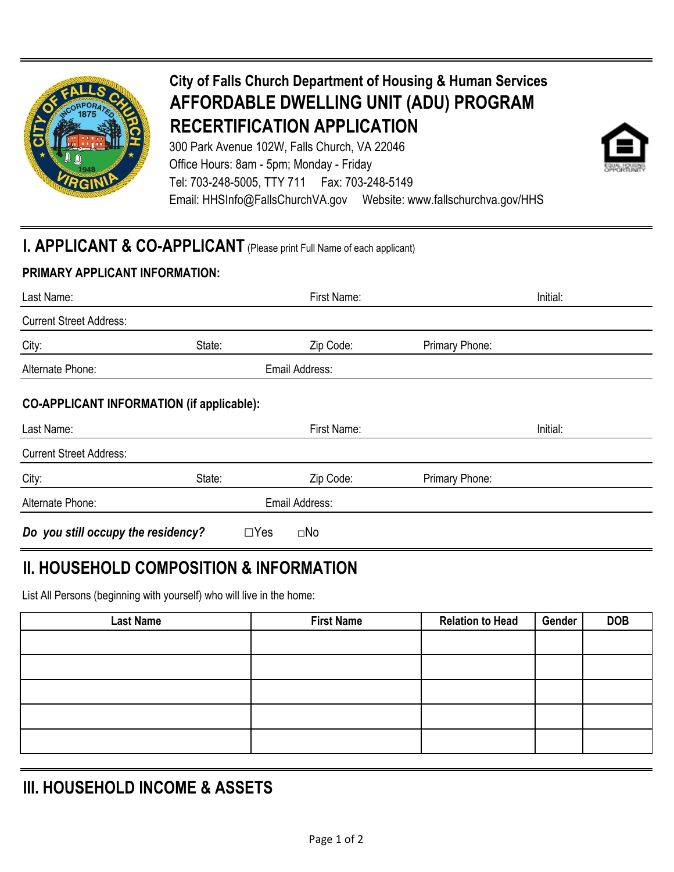

# **City of Falls Church Department of Housing & Human Services AFFORDABLE DWELLING UNIT (ADU) PROGRAM RECERTIFICATION APPLICATION**

300 Park Avenue 102W, Falls Church, VA 22046 Office Hours: 8am - 5pm; Monday - Friday Tel: 703-248-5005, TTY 711 Fax: 703-248-5149 Email: HHSInfo@FallsChurchVA.gov Website: www.fallschurchva.gov/HHS



### **PRIMARY APPLICANT INFORMATION:**

| Last Name:                     |                | First Name: | Initial:       |  |
|--------------------------------|----------------|-------------|----------------|--|
| <b>Current Street Address:</b> |                |             |                |  |
| City:                          | State:         | Zip Code:   | Primary Phone: |  |
| Alternate Phone:               | Email Address: |             |                |  |
|                                | .              |             |                |  |

#### **CO-APPLICANT INFORMATION (if applicable):**

| Last Name:                         |            | First Name:    |                | Initial: |
|------------------------------------|------------|----------------|----------------|----------|
| <b>Current Street Address:</b>     |            |                |                |          |
| City:                              | State:     | Zip Code:      | Primary Phone: |          |
| Alternate Phone:                   |            | Email Address: |                |          |
| Do you still occupy the residency? | $\Box$ Yes | $\square$ No   |                |          |

## **II. HOUSEHOLD COMPOSITION & INFORMATION**

List All Persons (beginning with yourself) who will live in the home:

| <b>Last Name</b> | <b>First Name</b> | <b>Relation to Head</b> | Gender | <b>DOB</b> |
|------------------|-------------------|-------------------------|--------|------------|
|                  |                   |                         |        |            |
|                  |                   |                         |        |            |
|                  |                   |                         |        |            |
|                  |                   |                         |        |            |
|                  |                   |                         |        |            |

## **III. HOUSEHOLD INCOME & ASSETS**